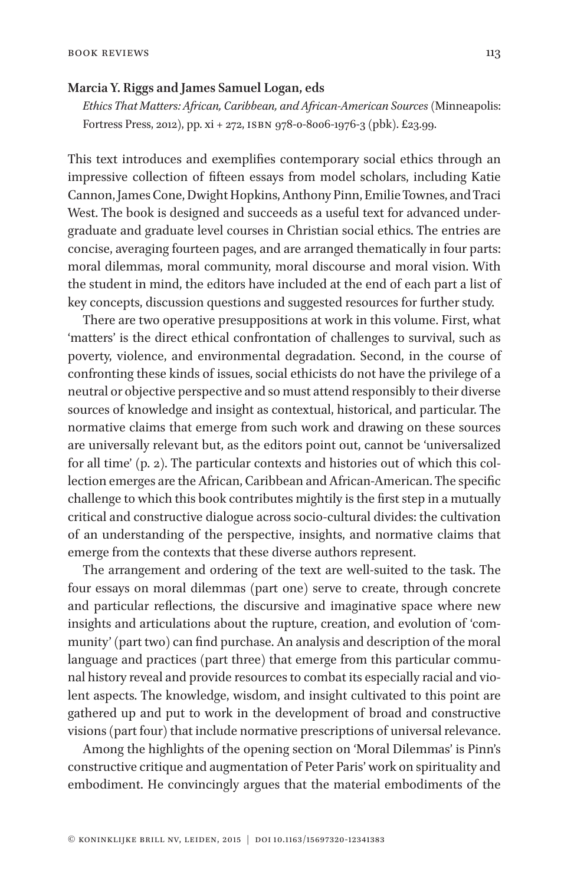## **Marcia Y. Riggs and James Samuel Logan, eds**

*Ethics That Matters: African, Caribbean, and African-American Sources* (Minneapolis: Fortress Press, 2012), pp. xi + 272, ISBN 978-0-8006-1976-3 (pbk). £23.99.

This text introduces and exemplifies contemporary social ethics through an impressive collection of fifteen essays from model scholars, including Katie Cannon, James Cone, Dwight Hopkins, Anthony Pinn, Emilie Townes, and Traci West. The book is designed and succeeds as a useful text for advanced undergraduate and graduate level courses in Christian social ethics. The entries are concise, averaging fourteen pages, and are arranged thematically in four parts: moral dilemmas, moral community, moral discourse and moral vision. With the student in mind, the editors have included at the end of each part a list of key concepts, discussion questions and suggested resources for further study.

There are two operative presuppositions at work in this volume. First, what 'matters' is the direct ethical confrontation of challenges to survival, such as poverty, violence, and environmental degradation. Second, in the course of confronting these kinds of issues, social ethicists do not have the privilege of a neutral or objective perspective and so must attend responsibly to their diverse sources of knowledge and insight as contextual, historical, and particular. The normative claims that emerge from such work and drawing on these sources are universally relevant but, as the editors point out, cannot be 'universalized for all time' (p. 2). The particular contexts and histories out of which this collection emerges are the African, Caribbean and African-American. The specific challenge to which this book contributes mightily is the first step in a mutually critical and constructive dialogue across socio-cultural divides: the cultivation of an understanding of the perspective, insights, and normative claims that emerge from the contexts that these diverse authors represent.

The arrangement and ordering of the text are well-suited to the task. The four essays on moral dilemmas (part one) serve to create, through concrete and particular reflections, the discursive and imaginative space where new insights and articulations about the rupture, creation, and evolution of 'community' (part two) can find purchase. An analysis and description of the moral language and practices (part three) that emerge from this particular communal history reveal and provide resources to combat its especially racial and violent aspects. The knowledge, wisdom, and insight cultivated to this point are gathered up and put to work in the development of broad and constructive visions (part four) that include normative prescriptions of universal relevance.

Among the highlights of the opening section on 'Moral Dilemmas' is Pinn's constructive critique and augmentation of Peter Paris' work on spirituality and embodiment. He convincingly argues that the material embodiments of the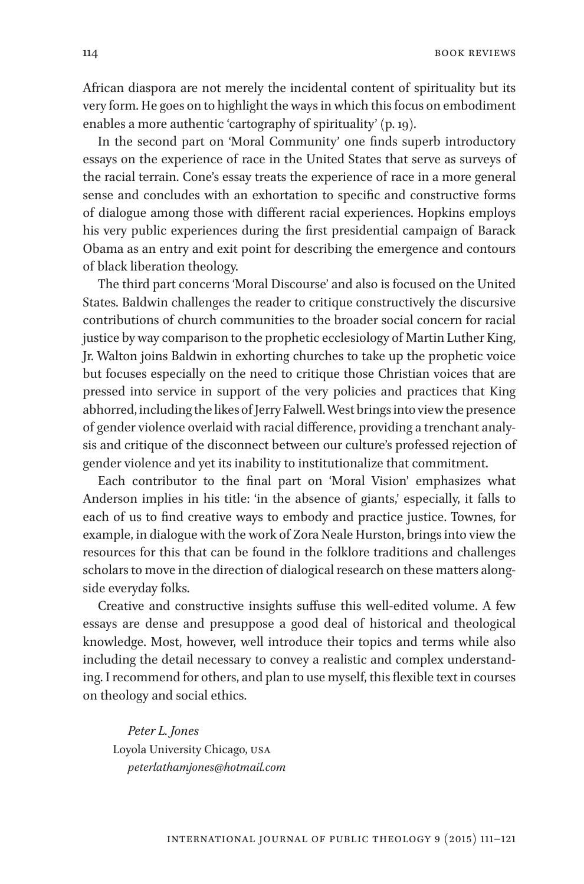114 BOOK REVIEWS

African diaspora are not merely the incidental content of spirituality but its very form. He goes on to highlight the ways in which this focus on embodiment enables a more authentic 'cartography of spirituality' (p. 19).

In the second part on 'Moral Community' one finds superb introductory essays on the experience of race in the United States that serve as surveys of the racial terrain. Cone's essay treats the experience of race in a more general sense and concludes with an exhortation to specific and constructive forms of dialogue among those with different racial experiences. Hopkins employs his very public experiences during the first presidential campaign of Barack Obama as an entry and exit point for describing the emergence and contours of black liberation theology.

The third part concerns 'Moral Discourse' and also is focused on the United States. Baldwin challenges the reader to critique constructively the discursive contributions of church communities to the broader social concern for racial justice by way comparison to the prophetic ecclesiology of Martin Luther King, Jr. Walton joins Baldwin in exhorting churches to take up the prophetic voice but focuses especially on the need to critique those Christian voices that are pressed into service in support of the very policies and practices that King abhorred, including the likes of Jerry Falwell. West brings into view the presence of gender violence overlaid with racial difference, providing a trenchant analysis and critique of the disconnect between our culture's professed rejection of gender violence and yet its inability to institutionalize that commitment.

Each contributor to the final part on 'Moral Vision' emphasizes what Anderson implies in his title: 'in the absence of giants,' especially, it falls to each of us to find creative ways to embody and practice justice. Townes, for example, in dialogue with the work of Zora Neale Hurston, brings into view the resources for this that can be found in the folklore traditions and challenges scholars to move in the direction of dialogical research on these matters alongside everyday folks.

Creative and constructive insights suffuse this well-edited volume. A few essays are dense and presuppose a good deal of historical and theological knowledge. Most, however, well introduce their topics and terms while also including the detail necessary to convey a realistic and complex understanding. I recommend for others, and plan to use myself, this flexible text in courses on theology and social ethics.

*Peter L. Jones* Loyola University Chicago, USA *peterlathamjones@hotmail.com*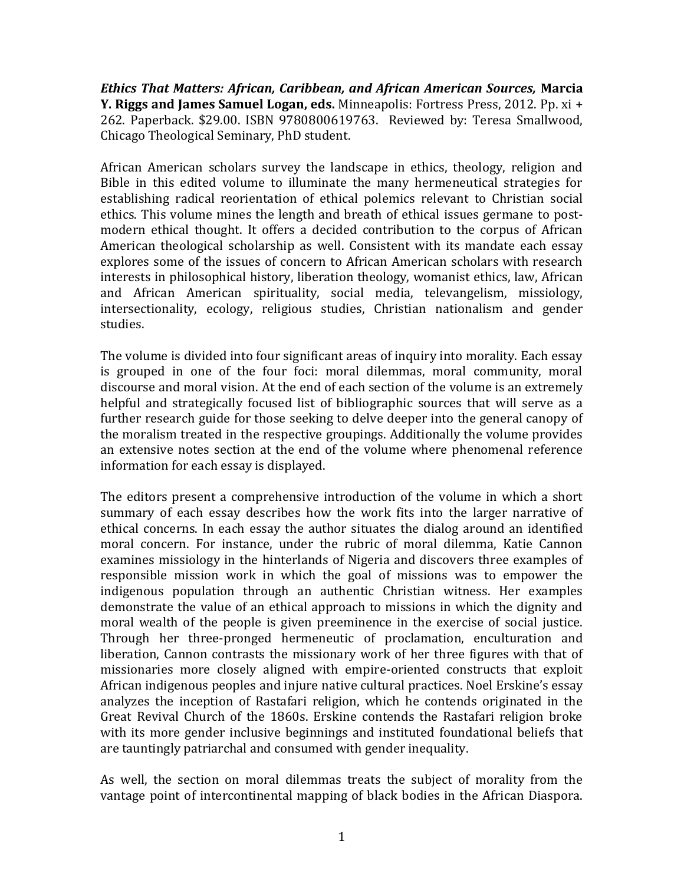*Ethics That Matters: African, Caribbean, and African American Sources,* **Marcia Y. Riggs and James Samuel Logan, eds.** Minneapolis: Fortress Press, 2012. Pp. xi + 262. Paperback. \$29.00. ISBN 9780800619763. Reviewed by: Teresa Smallwood, Chicago Theological Seminary, PhD student.

African American scholars survey the landscape in ethics, theology, religion and Bible in this edited volume to illuminate the many hermeneutical strategies for establishing radical reorientation of ethical polemics relevant to Christian social ethics. This volume mines the length and breath of ethical issues germane to postmodern ethical thought. It offers a decided contribution to the corpus of African American theological scholarship as well. Consistent with its mandate each essay explores some of the issues of concern to African American scholars with research interests in philosophical history, liberation theology, womanist ethics, law, African and African American spirituality, social media, televangelism, missiology, intersectionality, ecology, religious studies, Christian nationalism and gender studies.

The volume is divided into four significant areas of inquiry into morality. Each essay is grouped in one of the four foci: moral dilemmas, moral community, moral discourse and moral vision. At the end of each section of the volume is an extremely helpful and strategically focused list of bibliographic sources that will serve as a further research guide for those seeking to delve deeper into the general canopy of the moralism treated in the respective groupings. Additionally the volume provides an extensive notes section at the end of the volume where phenomenal reference information for each essay is displayed.

The editors present a comprehensive introduction of the volume in which a short summary of each essay describes how the work fits into the larger narrative of ethical concerns. In each essay the author situates the dialog around an identified moral concern. For instance, under the rubric of moral dilemma, Katie Cannon examines missiology in the hinterlands of Nigeria and discovers three examples of responsible mission work in which the goal of missions was to empower the indigenous population through an authentic Christian witness. Her examples demonstrate the value of an ethical approach to missions in which the dignity and moral wealth of the people is given preeminence in the exercise of social justice. Through her three-pronged hermeneutic of proclamation, enculturation and liberation, Cannon contrasts the missionary work of her three figures with that of missionaries more closely aligned with empire-oriented constructs that exploit African indigenous peoples and injure native cultural practices. Noel Erskine's essay analyzes the inception of Rastafari religion, which he contends originated in the Great Revival Church of the 1860s. Erskine contends the Rastafari religion broke with its more gender inclusive beginnings and instituted foundational beliefs that are tauntingly patriarchal and consumed with gender inequality.

As well, the section on moral dilemmas treats the subject of morality from the vantage point of intercontinental mapping of black bodies in the African Diaspora.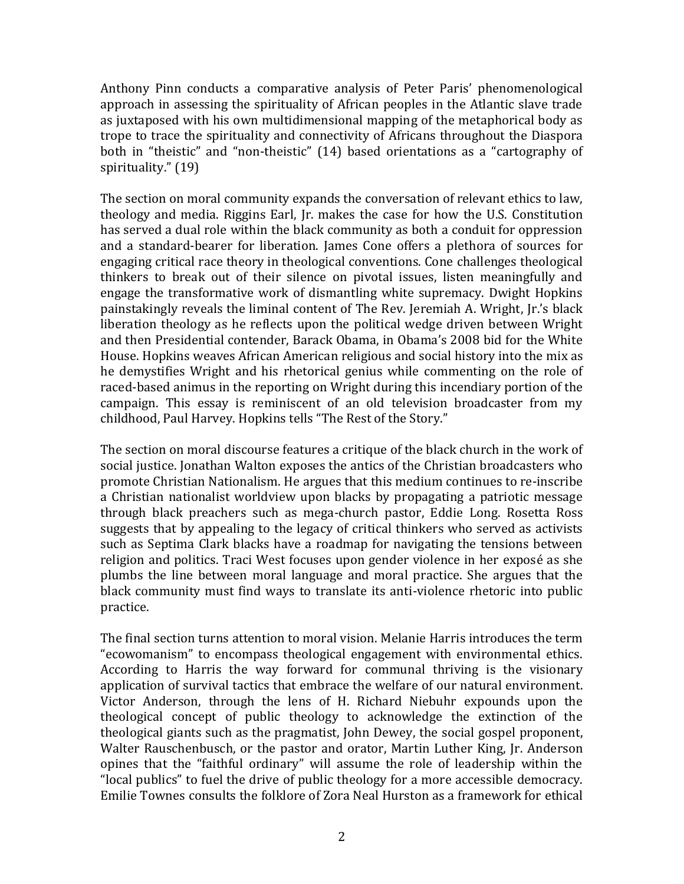Anthony Pinn conducts a comparative analysis of Peter Paris' phenomenological approach in assessing the spirituality of African peoples in the Atlantic slave trade as juxtaposed with his own multidimensional mapping of the metaphorical body as trope to trace the spirituality and connectivity of Africans throughout the Diaspora both in "theistic" and "non-theistic" (14) based orientations as a "cartography of spirituality." (19)

The section on moral community expands the conversation of relevant ethics to law, theology and media. Riggins Earl, Jr. makes the case for how the U.S. Constitution has served a dual role within the black community as both a conduit for oppression and a standard-bearer for liberation. James Cone offers a plethora of sources for engaging critical race theory in theological conventions. Cone challenges theological thinkers to break out of their silence on pivotal issues, listen meaningfully and engage the transformative work of dismantling white supremacy. Dwight Hopkins painstakingly reveals the liminal content of The Rev. Jeremiah A. Wright, Jr.'s black liberation theology as he reflects upon the political wedge driven between Wright and then Presidential contender, Barack Obama, in Obama's 2008 bid for the White House. Hopkins weaves African American religious and social history into the mix as he demystifies Wright and his rhetorical genius while commenting on the role of raced-based animus in the reporting on Wright during this incendiary portion of the campaign. This essay is reminiscent of an old television broadcaster from my childhood, Paul Harvey. Hopkins tells "The Rest of the Story."

The section on moral discourse features a critique of the black church in the work of social justice. Jonathan Walton exposes the antics of the Christian broadcasters who promote Christian Nationalism. He argues that this medium continues to re-inscribe a Christian nationalist worldview upon blacks by propagating a patriotic message through black preachers such as mega-church pastor, Eddie Long. Rosetta Ross suggests that by appealing to the legacy of critical thinkers who served as activists such as Septima Clark blacks have a roadmap for navigating the tensions between religion and politics. Traci West focuses upon gender violence in her exposé as she plumbs the line between moral language and moral practice. She argues that the black community must find ways to translate its anti-violence rhetoric into public practice.

The final section turns attention to moral vision. Melanie Harris introduces the term "ecowomanism" to encompass theological engagement with environmental ethics. According to Harris the way forward for communal thriving is the visionary application of survival tactics that embrace the welfare of our natural environment. Victor Anderson, through the lens of H. Richard Niebuhr expounds upon the theological concept of public theology to acknowledge the extinction of the theological giants such as the pragmatist, John Dewey, the social gospel proponent, Walter Rauschenbusch, or the pastor and orator, Martin Luther King, Jr. Anderson opines that the "faithful ordinary" will assume the role of leadership within the "local publics" to fuel the drive of public theology for a more accessible democracy. Emilie Townes consults the folklore of Zora Neal Hurston as a framework for ethical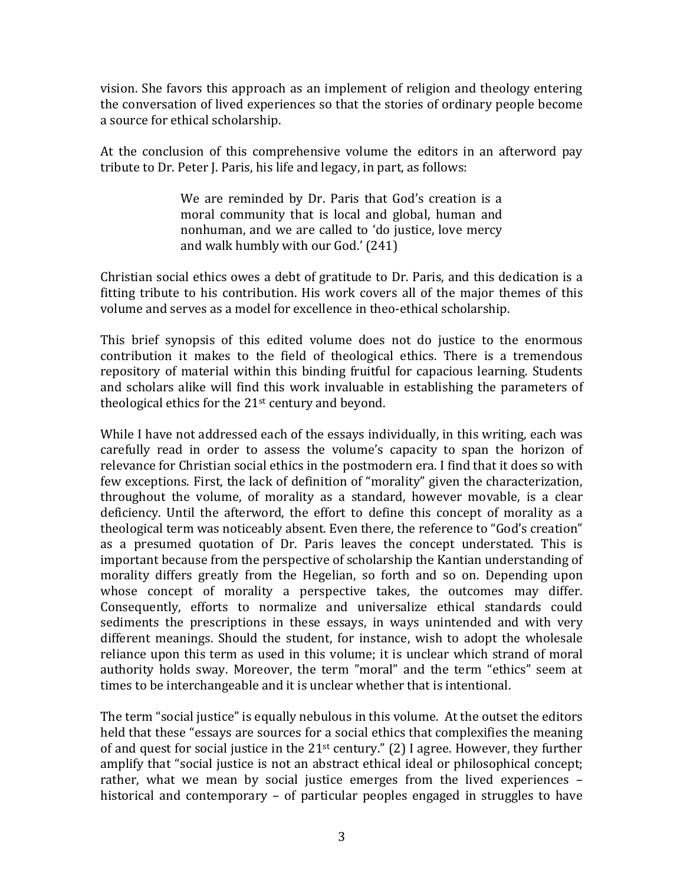vision. She favors this approach as an implement of religion and theology entering the conversation of lived experiences so that the stories of ordinary people become a source for ethical scholarship.

At the conclusion of this comprehensive volume the editors in an afterword pay tribute to Dr. Peter J. Paris, his life and legacy, in part, as follows:

> We are reminded by Dr. Paris that God's creation is a moral community that is local and global, human and nonhuman, and we are called to 'do justice, love mercy and walk humbly with our God.' (241)

Christian social ethics owes a debt of gratitude to Dr. Paris, and this dedication is a fitting tribute to his contribution. His work covers all of the major themes of this volume and serves as a model for excellence in theo-ethical scholarship.

This brief synopsis of this edited volume does not do justice to the enormous contribution it makes to the field of theological ethics. There is a tremendous repository of material within this binding fruitful for capacious learning. Students and scholars alike will find this work invaluable in establishing the parameters of theological ethics for the 21st century and beyond.

While I have not addressed each of the essays individually, in this writing, each was carefully read in order to assess the volume's capacity to span the horizon of relevance for Christian social ethics in the postmodern era. I find that it does so with few exceptions. First, the lack of definition of "morality" given the characterization, throughout the volume, of morality as a standard, however movable, is a clear deficiency. Until the afterword, the effort to define this concept of morality as a theological term was noticeably absent. Even there, the reference to "God's creation" as a presumed quotation of Dr. Paris leaves the concept understated. This is important because from the perspective of scholarship the Kantian understanding of morality differs greatly from the Hegelian, so forth and so on. Depending upon whose concept of morality a perspective takes, the outcomes may differ. Consequently, efforts to normalize and universalize ethical standards could sediments the prescriptions in these essays, in ways unintended and with very different meanings. Should the student, for instance, wish to adopt the wholesale reliance upon this term as used in this volume; it is unclear which strand of moral authority holds sway. Moreover, the term "moral" and the term "ethics" seem at times to be interchangeable and it is unclear whether that is intentional.

The term "social justice" is equally nebulous in this volume. At the outset the editors held that these "essays are sources for a social ethics that complexifies the meaning of and quest for social justice in the  $21<sup>st</sup>$  century." (2) I agree. However, they further amplify that "social justice is not an abstract ethical ideal or philosophical concept; rather, what we mean by social justice emerges from the lived experiences – historical and contemporary – of particular peoples engaged in struggles to have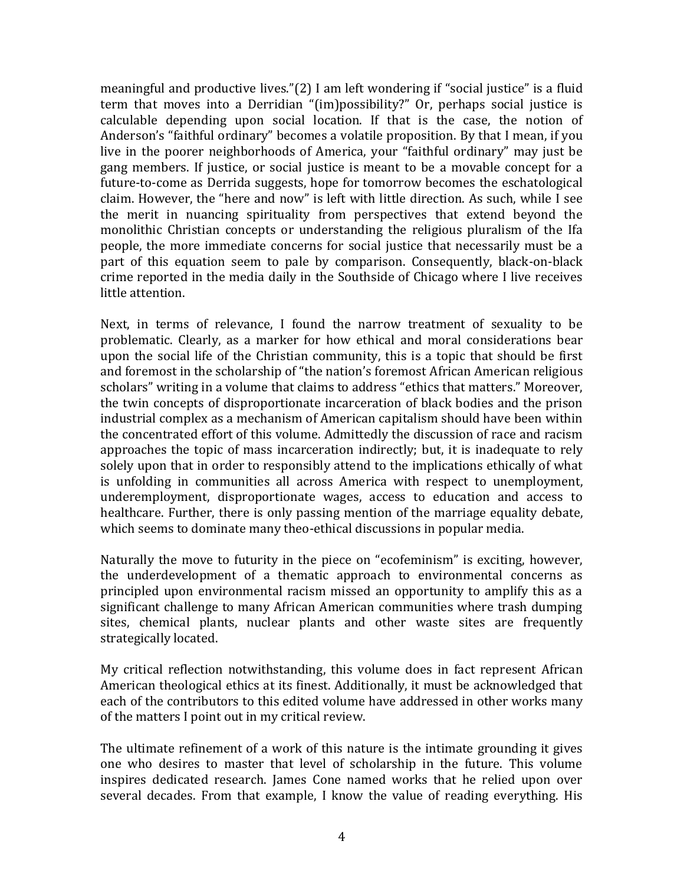meaningful and productive lives."(2) I am left wondering if "social justice" is a fluid term that moves into a Derridian "(im)possibility?" Or, perhaps social justice is calculable depending upon social location. If that is the case, the notion of Anderson's "faithful ordinary" becomes a volatile proposition. By that I mean, if you live in the poorer neighborhoods of America, your "faithful ordinary" may just be gang members. If justice, or social justice is meant to be a movable concept for a future-to-come as Derrida suggests, hope for tomorrow becomes the eschatological claim. However, the "here and now" is left with little direction. As such, while I see the merit in nuancing spirituality from perspectives that extend beyond the monolithic Christian concepts or understanding the religious pluralism of the Ifa people, the more immediate concerns for social justice that necessarily must be a part of this equation seem to pale by comparison. Consequently, black-on-black crime reported in the media daily in the Southside of Chicago where I live receives little attention.

Next, in terms of relevance, I found the narrow treatment of sexuality to be problematic. Clearly, as a marker for how ethical and moral considerations bear upon the social life of the Christian community, this is a topic that should be first and foremost in the scholarship of "the nation's foremost African American religious scholars" writing in a volume that claims to address "ethics that matters." Moreover, the twin concepts of disproportionate incarceration of black bodies and the prison industrial complex as a mechanism of American capitalism should have been within the concentrated effort of this volume. Admittedly the discussion of race and racism approaches the topic of mass incarceration indirectly; but, it is inadequate to rely solely upon that in order to responsibly attend to the implications ethically of what is unfolding in communities all across America with respect to unemployment, underemployment, disproportionate wages, access to education and access to healthcare. Further, there is only passing mention of the marriage equality debate, which seems to dominate many theo-ethical discussions in popular media.

Naturally the move to futurity in the piece on "ecofeminism" is exciting, however, the underdevelopment of a thematic approach to environmental concerns as principled upon environmental racism missed an opportunity to amplify this as a significant challenge to many African American communities where trash dumping sites, chemical plants, nuclear plants and other waste sites are frequently strategically located.

My critical reflection notwithstanding, this volume does in fact represent African American theological ethics at its finest. Additionally, it must be acknowledged that each of the contributors to this edited volume have addressed in other works many of the matters I point out in my critical review.

The ultimate refinement of a work of this nature is the intimate grounding it gives one who desires to master that level of scholarship in the future. This volume inspires dedicated research. James Cone named works that he relied upon over several decades. From that example, I know the value of reading everything. His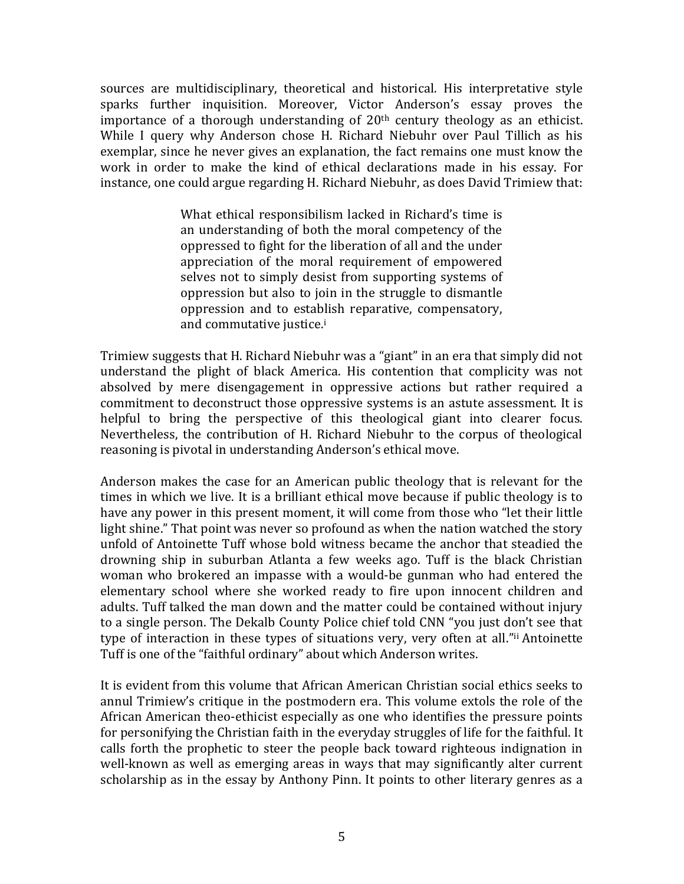sources are multidisciplinary, theoretical and historical. His interpretative style sparks further inquisition. Moreover, Victor Anderson's essay proves the importance of a thorough understanding of  $20<sup>th</sup>$  century theology as an ethicist. While I query why Anderson chose H. Richard Niebuhr over Paul Tillich as his exemplar, since he never gives an explanation, the fact remains one must know the work in order to make the kind of ethical declarations made in his essay. For instance, one could argue regarding H. Richard Niebuhr, as does David Trimiew that:

> What ethical responsibilism lacked in Richard's time is an understanding of both the moral competency of the oppressed to fight for the liberation of all and the under appreciation of the moral requirement of empowered selves not to simply desist from supporting systems of oppression but also to join in the struggle to dismantle oppression and to establish reparative, compensatory, and commutative justice.<sup>i</sup>

Trimiew suggests that H. Richard Niebuhr was a "giant" in an era that simply did not understand the plight of black America. His contention that complicity was not absolved by mere disengagement in oppressive actions but rather required a commitment to deconstruct those oppressive systems is an astute assessment. It is helpful to bring the perspective of this theological giant into clearer focus. Nevertheless, the contribution of H. Richard Niebuhr to the corpus of theological reasoning is pivotal in understanding Anderson's ethical move.

Anderson makes the case for an American public theology that is relevant for the times in which we live. It is a brilliant ethical move because if public theology is to have any power in this present moment, it will come from those who "let their little light shine." That point was never so profound as when the nation watched the story unfold of Antoinette Tuff whose bold witness became the anchor that steadied the drowning ship in suburban Atlanta a few weeks ago. Tuff is the black Christian woman who brokered an impasse with a would-be gunman who had entered the elementary school where she worked ready to fire upon innocent children and adults. Tuff talked the man down and the matter could be contained without injury to a single person. The Dekalb County Police chief told CNN "you just don't see that type of interaction in these types of situations very, very often at all."ii Antoinette Tuff is one of the "faithful ordinary" about which Anderson writes.

It is evident from this volume that African American Christian social ethics seeks to annul Trimiew's critique in the postmodern era. This volume extols the role of the African American theo-ethicist especially as one who identifies the pressure points for personifying the Christian faith in the everyday struggles of life for the faithful. It calls forth the prophetic to steer the people back toward righteous indignation in well-known as well as emerging areas in ways that may significantly alter current scholarship as in the essay by Anthony Pinn. It points to other literary genres as a